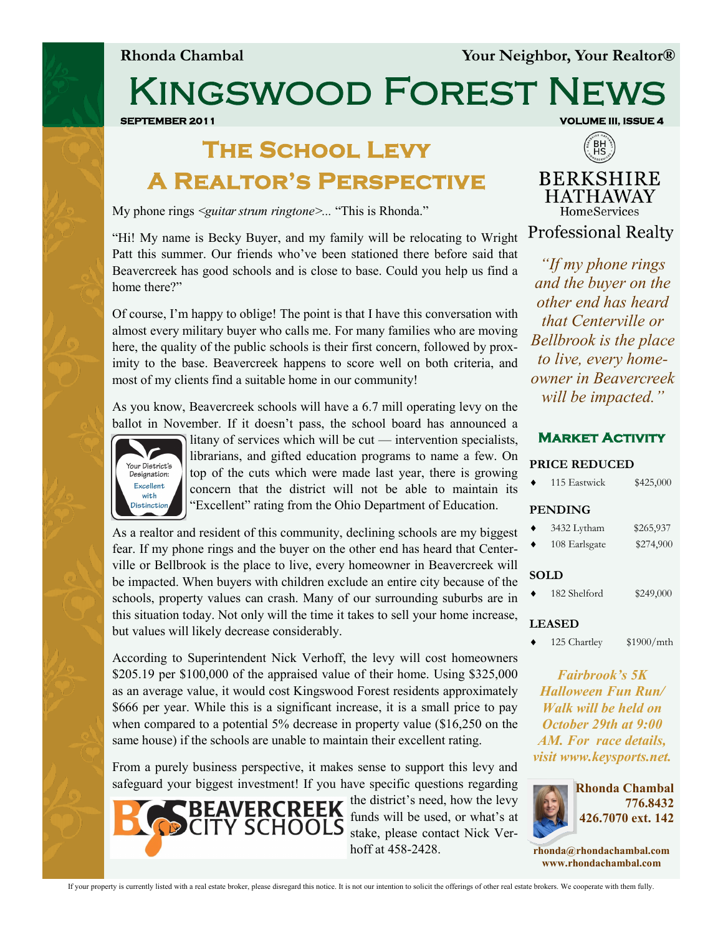**Rhonda Chambal Your Neighbor, Your Realtor®**

Kingswood Forest News

**SEPTEMBER 2011 SEPTEMBER 2011** 

## **The School Levy**

**A Realtor's Perspective** 

My phone rings *<guitar strum ringtone>...* "This is Rhonda."



"Hi! My name is Becky Buyer, and my family will be relocating to Wright Patt this summer. Our friends who've been stationed there before said that Beavercreek has good schools and is close to base. Could you help us find a home there?"

Of course, I'm happy to oblige! The point is that I have this conversation with almost every military buyer who calls me. For many families who are moving here, the quality of the public schools is their first concern, followed by proximity to the base. Beavercreek happens to score well on both criteria, and most of my clients find a suitable home in our community!

As you know, Beavercreek schools will have a 6.7 mill operating levy on the ballot in November. If it doesn't pass, the school board has announced a



litany of services which will be cut — intervention specialists, librarians, and gifted education programs to name a few. On top of the cuts which were made last year, there is growing concern that the district will not be able to maintain its "Excellent" rating from the Ohio Department of Education.

As a realtor and resident of this community, declining schools are my biggest fear. If my phone rings and the buyer on the other end has heard that Centerville or Bellbrook is the place to live, every homeowner in Beavercreek will be impacted. When buyers with children exclude an entire city because of the schools, property values can crash. Many of our surrounding suburbs are in this situation today. Not only will the time it takes to sell your home increase, but values will likely decrease considerably.

According to Superintendent Nick Verhoff, the levy will cost homeowners \$205.19 per \$100,000 of the appraised value of their home. Using \$325,000 as an average value, it would cost Kingswood Forest residents approximately \$666 per year. While this is a significant increase, it is a small price to pay when compared to a potential 5% decrease in property value (\$16,250 on the same house) if the schools are unable to maintain their excellent rating.

From a purely business perspective, it makes sense to support this levy and safeguard your biggest investment! If you have specific questions regarding



the district's need, how the levy funds will be used, or what's at stake, please contact Nick Verhoff at 458-2428.

**Professional Realty** *"If my phone rings and the buyer on the other end has heard that Centerville or Bellbrook is the place to live, every homeowner in Beavercreek will be impacted."* 

## **Market Activity**

| <b>PRICE REDUCED</b> |                             |            |  |
|----------------------|-----------------------------|------------|--|
|                      | 115 Eastwick                | \$425,000  |  |
|                      | <b>PENDING</b>              |            |  |
|                      | 3432 Lytham                 | \$265,937  |  |
|                      | 108 Earlsgate               | \$274,900  |  |
|                      | <b>SOLD</b><br>182 Shelford | \$249,000  |  |
|                      | <b>LEASED</b>               |            |  |
|                      | 125 Chartley                | \$1900/mth |  |

*Fairbrook's 5K Halloween Fun Run/ Walk will be held on October 29th at 9:00 AM. For race details, visit www.keysports.net.* 



**rhonda@rhondachambal.com www.rhondachambal.com**